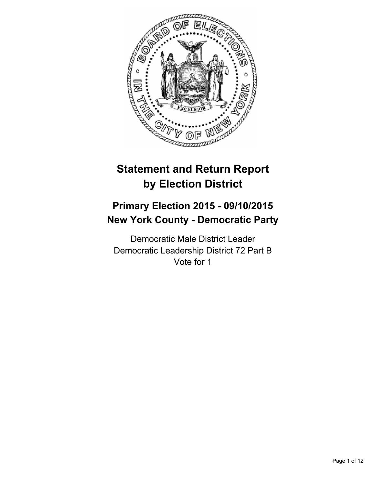

# **Statement and Return Report by Election District**

# **Primary Election 2015 - 09/10/2015 New York County - Democratic Party**

Democratic Male District Leader Democratic Leadership District 72 Part B Vote for 1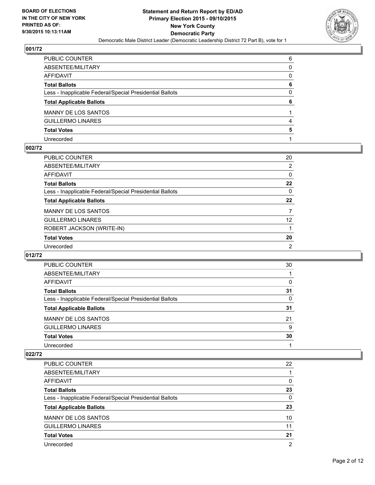

| PUBLIC COUNTER                                           | 6 |
|----------------------------------------------------------|---|
| ABSENTEE/MILITARY                                        | 0 |
| AFFIDAVIT                                                | 0 |
| Total Ballots                                            | 6 |
| Less - Inapplicable Federal/Special Presidential Ballots | 0 |
| <b>Total Applicable Ballots</b>                          | 6 |
| MANNY DE LOS SANTOS                                      |   |
| <b>GUILLERMO LINARES</b>                                 | 4 |
| <b>Total Votes</b>                                       | 5 |
| Unrecorded                                               |   |

#### **002/72**

| PUBLIC COUNTER                                           | 20              |
|----------------------------------------------------------|-----------------|
| ABSENTEE/MILITARY                                        | 2               |
| AFFIDAVIT                                                | 0               |
| Total Ballots                                            | $22 \,$         |
| Less - Inapplicable Federal/Special Presidential Ballots | 0               |
| <b>Total Applicable Ballots</b>                          | 22              |
| MANNY DE LOS SANTOS                                      | $\overline{7}$  |
| <b>GUILLERMO LINARES</b>                                 | 12 <sup>2</sup> |
| ROBERT JACKSON (WRITE-IN)                                |                 |
| <b>Total Votes</b>                                       | 20              |
| Unrecorded                                               | 2               |
|                                                          |                 |

#### **012/72**

| PUBLIC COUNTER                                           | 30 |
|----------------------------------------------------------|----|
| ABSENTEE/MILITARY                                        |    |
| <b>AFFIDAVIT</b>                                         | 0  |
| <b>Total Ballots</b>                                     | 31 |
| Less - Inapplicable Federal/Special Presidential Ballots | 0  |
| <b>Total Applicable Ballots</b>                          | 31 |
| <b>MANNY DE LOS SANTOS</b>                               | 21 |
| <b>GUILLERMO LINARES</b>                                 | 9  |
| <b>Total Votes</b>                                       | 30 |
| Unrecorded                                               |    |

| <b>PUBLIC COUNTER</b>                                    | 22             |
|----------------------------------------------------------|----------------|
| ABSENTEE/MILITARY                                        |                |
| AFFIDAVIT                                                | 0              |
| <b>Total Ballots</b>                                     | 23             |
| Less - Inapplicable Federal/Special Presidential Ballots | $\Omega$       |
| <b>Total Applicable Ballots</b>                          | 23             |
| <b>MANNY DE LOS SANTOS</b>                               | 10             |
| <b>GUILLERMO LINARES</b>                                 | 11             |
| <b>Total Votes</b>                                       | 21             |
| Unrecorded                                               | $\overline{2}$ |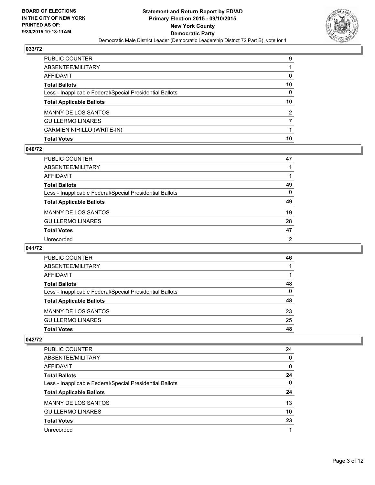

| PUBLIC COUNTER                                           | 9              |
|----------------------------------------------------------|----------------|
| ABSENTEE/MILITARY                                        |                |
| AFFIDAVIT                                                | 0              |
| Total Ballots                                            | 10             |
| Less - Inapplicable Federal/Special Presidential Ballots | 0              |
| <b>Total Applicable Ballots</b>                          | 10             |
| MANNY DE LOS SANTOS                                      | $\overline{2}$ |
| GUILLERMO LINARES                                        | 7              |
| CARMIEN NIRILLO (WRITE-IN)                               |                |
| Total Votes                                              | 10             |

## **040/72**

| PUBLIC COUNTER                                           | 47           |
|----------------------------------------------------------|--------------|
| ABSENTEE/MILITARY                                        |              |
| AFFIDAVIT                                                |              |
| <b>Total Ballots</b>                                     | 49           |
| Less - Inapplicable Federal/Special Presidential Ballots | $\mathbf{0}$ |
| <b>Total Applicable Ballots</b>                          | 49           |
| MANNY DE LOS SANTOS                                      | 19           |
| <b>GUILLERMO LINARES</b>                                 | 28           |
| <b>Total Votes</b>                                       | 47           |
| Unrecorded                                               | 2            |
|                                                          |              |

## **041/72**

| <b>PUBLIC COUNTER</b>                                    | 46 |
|----------------------------------------------------------|----|
| ABSENTEE/MILITARY                                        |    |
| <b>AFFIDAVIT</b>                                         |    |
| <b>Total Ballots</b>                                     | 48 |
| Less - Inapplicable Federal/Special Presidential Ballots | 0  |
| <b>Total Applicable Ballots</b>                          | 48 |
| <b>MANNY DE LOS SANTOS</b>                               | 23 |
| <b>GUILLERMO LINARES</b>                                 | 25 |
| <b>Total Votes</b>                                       | 48 |

| PUBLIC COUNTER                                           | 24 |
|----------------------------------------------------------|----|
| ABSENTEE/MILITARY                                        | 0  |
| AFFIDAVIT                                                | 0  |
| <b>Total Ballots</b>                                     | 24 |
| Less - Inapplicable Federal/Special Presidential Ballots | 0  |
| <b>Total Applicable Ballots</b>                          | 24 |
| <b>MANNY DE LOS SANTOS</b>                               | 13 |
| <b>GUILLERMO LINARES</b>                                 | 10 |
| <b>Total Votes</b>                                       | 23 |
| Unrecorded                                               |    |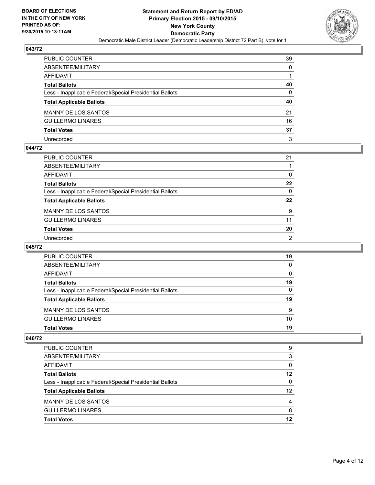

| PUBLIC COUNTER                                           | 39           |
|----------------------------------------------------------|--------------|
| ABSENTEE/MILITARY                                        | $\mathbf{0}$ |
| AFFIDAVIT                                                |              |
| Total Ballots                                            | 40           |
| Less - Inapplicable Federal/Special Presidential Ballots | 0            |
| <b>Total Applicable Ballots</b>                          | 40           |
| MANNY DE LOS SANTOS                                      | 21           |
| GUILLERMO LINARES                                        | 16           |
| <b>Total Votes</b>                                       | 37           |
| Unrecorded                                               | 3            |

#### **044/72**

| PUBLIC COUNTER                                           | 21           |
|----------------------------------------------------------|--------------|
| ABSENTEE/MILITARY                                        |              |
| AFFIDAVIT                                                | 0            |
| Total Ballots                                            | $22 \,$      |
| Less - Inapplicable Federal/Special Presidential Ballots | $\mathbf{0}$ |
| <b>Total Applicable Ballots</b>                          | $22 \,$      |
| MANNY DE LOS SANTOS                                      | 9            |
| <b>GUILLERMO LINARES</b>                                 | 11           |
| <b>Total Votes</b>                                       | 20           |
| Unrecorded                                               | 2            |

## **045/72**

| PUBLIC COUNTER                                           | 19 |
|----------------------------------------------------------|----|
| ABSENTEE/MILITARY                                        | 0  |
| <b>AFFIDAVIT</b>                                         | 0  |
| <b>Total Ballots</b>                                     | 19 |
| Less - Inapplicable Federal/Special Presidential Ballots | 0  |
| <b>Total Applicable Ballots</b>                          | 19 |
| <b>MANNY DE LOS SANTOS</b>                               | 9  |
| <b>GUILLERMO LINARES</b>                                 | 10 |
| <b>Total Votes</b>                                       | 19 |

| PUBLIC COUNTER                                           | 9  |
|----------------------------------------------------------|----|
| ABSENTEE/MILITARY                                        | 3  |
| AFFIDAVIT                                                | 0  |
| <b>Total Ballots</b>                                     | 12 |
| Less - Inapplicable Federal/Special Presidential Ballots | 0  |
| <b>Total Applicable Ballots</b>                          | 12 |
| <b>MANNY DE LOS SANTOS</b>                               | 4  |
| <b>GUILLERMO LINARES</b>                                 | 8  |
| <b>Total Votes</b>                                       | 12 |
|                                                          |    |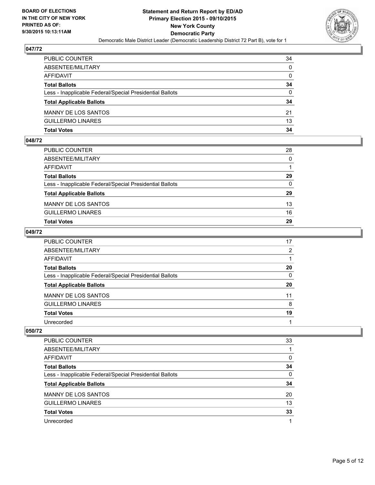

| PUBLIC COUNTER                                           | 34           |
|----------------------------------------------------------|--------------|
| ABSENTEE/MILITARY                                        | $\mathbf{0}$ |
| AFFIDAVIT                                                | $\mathbf{0}$ |
| <b>Total Ballots</b>                                     | 34           |
| Less - Inapplicable Federal/Special Presidential Ballots | $\Omega$     |
| <b>Total Applicable Ballots</b>                          | 34           |
| <b>MANNY DE LOS SANTOS</b>                               | 21           |
| <b>GUILLERMO LINARES</b>                                 | 13           |
| Total Votes                                              | 34           |

# **048/72**

| <b>Total Votes</b>                                       | 29           |
|----------------------------------------------------------|--------------|
| <b>GUILLERMO LINARES</b>                                 | 16           |
| <b>MANNY DE LOS SANTOS</b>                               | 13           |
| <b>Total Applicable Ballots</b>                          | 29           |
| Less - Inapplicable Federal/Special Presidential Ballots | $\Omega$     |
| <b>Total Ballots</b>                                     | 29           |
| <b>AFFIDAVIT</b>                                         |              |
| ABSENTEE/MILITARY                                        | $\mathbf{0}$ |
| PUBLIC COUNTER                                           | 28           |

## **049/72**

| PUBLIC COUNTER                                           | 17       |
|----------------------------------------------------------|----------|
| ABSENTEE/MILITARY                                        | 2        |
| <b>AFFIDAVIT</b>                                         |          |
| <b>Total Ballots</b>                                     | 20       |
| Less - Inapplicable Federal/Special Presidential Ballots | $\Omega$ |
| <b>Total Applicable Ballots</b>                          | 20       |
| <b>MANNY DE LOS SANTOS</b>                               | 11       |
| <b>GUILLERMO LINARES</b>                                 | 8        |
| <b>Total Votes</b>                                       | 19       |
| Unrecorded                                               |          |

| <b>PUBLIC COUNTER</b>                                    | 33 |
|----------------------------------------------------------|----|
| ABSENTEE/MILITARY                                        |    |
| AFFIDAVIT                                                | 0  |
| <b>Total Ballots</b>                                     | 34 |
| Less - Inapplicable Federal/Special Presidential Ballots | 0  |
| <b>Total Applicable Ballots</b>                          | 34 |
| <b>MANNY DE LOS SANTOS</b>                               | 20 |
| <b>GUILLERMO LINARES</b>                                 | 13 |
| <b>Total Votes</b>                                       | 33 |
| Unrecorded                                               |    |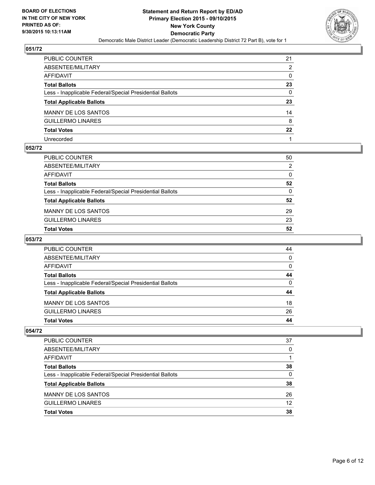

| PUBLIC COUNTER                                           | 21               |
|----------------------------------------------------------|------------------|
| ABSENTEE/MILITARY                                        | 2                |
| AFFIDAVIT                                                | 0                |
| Total Ballots                                            | 23               |
| Less - Inapplicable Federal/Special Presidential Ballots | 0                |
| <b>Total Applicable Ballots</b>                          | 23               |
| MANNY DE LOS SANTOS                                      | 14               |
| <b>GUILLERMO LINARES</b>                                 | 8                |
| <b>Total Votes</b>                                       | $22\phantom{.0}$ |
| Unrecorded                                               |                  |

# **052/72**

| PUBLIC COUNTER                                           | 50       |
|----------------------------------------------------------|----------|
| ABSENTEE/MILITARY                                        | 2        |
| AFFIDAVIT                                                | 0        |
| Total Ballots                                            | 52       |
| Less - Inapplicable Federal/Special Presidential Ballots | $\Omega$ |
| <b>Total Applicable Ballots</b>                          | 52       |
| MANNY DE LOS SANTOS                                      | 29       |
| GUILLERMO LINARES                                        | 23       |
| <b>Total Votes</b>                                       | 52       |
|                                                          |          |

# **053/72**

| PUBLIC COUNTER                                           | 44 |
|----------------------------------------------------------|----|
| ABSENTEE/MILITARY                                        | 0  |
| AFFIDAVIT                                                | 0  |
| <b>Total Ballots</b>                                     | 44 |
| Less - Inapplicable Federal/Special Presidential Ballots | 0  |
| <b>Total Applicable Ballots</b>                          | 44 |
| <b>MANNY DE LOS SANTOS</b>                               | 18 |
| <b>GUILLERMO LINARES</b>                                 | 26 |
| <b>Total Votes</b>                                       | 44 |

| PUBLIC COUNTER                                           | 37 |
|----------------------------------------------------------|----|
| ABSENTEE/MILITARY                                        | 0  |
| AFFIDAVIT                                                |    |
| <b>Total Ballots</b>                                     | 38 |
| Less - Inapplicable Federal/Special Presidential Ballots | 0  |
| <b>Total Applicable Ballots</b>                          | 38 |
| <b>MANNY DE LOS SANTOS</b>                               | 26 |
| <b>GUILLERMO LINARES</b>                                 | 12 |
| <b>Total Votes</b>                                       | 38 |
|                                                          |    |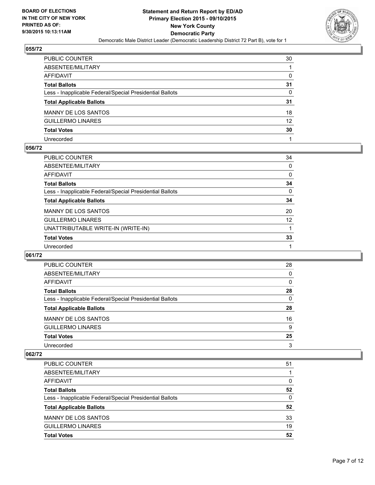

| PUBLIC COUNTER                                           | 30              |
|----------------------------------------------------------|-----------------|
| ABSENTEE/MILITARY                                        |                 |
| AFFIDAVIT                                                | $\mathbf{0}$    |
| Total Ballots                                            | 31              |
| Less - Inapplicable Federal/Special Presidential Ballots | $\mathbf{0}$    |
| <b>Total Applicable Ballots</b>                          | 31              |
| MANNY DE LOS SANTOS                                      | 18              |
| <b>GUILLERMO LINARES</b>                                 | 12 <sup>°</sup> |
| <b>Total Votes</b>                                       | 30              |
| Unrecorded                                               |                 |

# **056/72**

| PUBLIC COUNTER                                           | 34              |
|----------------------------------------------------------|-----------------|
| ABSENTEE/MILITARY                                        | 0               |
| AFFIDAVIT                                                | 0               |
| Total Ballots                                            | 34              |
| Less - Inapplicable Federal/Special Presidential Ballots | 0               |
| <b>Total Applicable Ballots</b>                          | 34              |
| MANNY DE LOS SANTOS                                      | 20              |
| <b>GUILLERMO LINARES</b>                                 | 12 <sup>2</sup> |
| UNATTRIBUTABLE WRITE-IN (WRITE-IN)                       |                 |
| <b>Total Votes</b>                                       | 33              |
| Unrecorded                                               |                 |
|                                                          |                 |

#### **061/72**

| PUBLIC COUNTER                                           | 28 |
|----------------------------------------------------------|----|
| ABSENTEE/MILITARY                                        | 0  |
| <b>AFFIDAVIT</b>                                         | 0  |
| <b>Total Ballots</b>                                     | 28 |
| Less - Inapplicable Federal/Special Presidential Ballots | 0  |
| <b>Total Applicable Ballots</b>                          | 28 |
| <b>MANNY DE LOS SANTOS</b>                               | 16 |
| <b>GUILLERMO LINARES</b>                                 | 9  |
| <b>Total Votes</b>                                       | 25 |
| Unrecorded                                               | 3  |

| <b>PUBLIC COUNTER</b>                                    | 51 |
|----------------------------------------------------------|----|
| ABSENTEE/MILITARY                                        |    |
| AFFIDAVIT                                                | 0  |
| <b>Total Ballots</b>                                     | 52 |
| Less - Inapplicable Federal/Special Presidential Ballots | 0  |
| <b>Total Applicable Ballots</b>                          | 52 |
| <b>MANNY DE LOS SANTOS</b>                               | 33 |
| <b>GUILLERMO LINARES</b>                                 | 19 |
| <b>Total Votes</b>                                       | 52 |
|                                                          |    |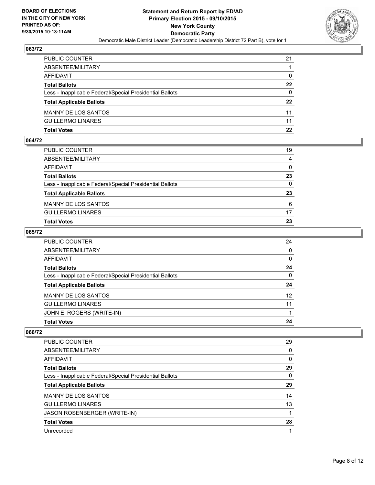

| PUBLIC COUNTER                                           | 21           |
|----------------------------------------------------------|--------------|
| ABSENTEE/MILITARY                                        |              |
| AFFIDAVIT                                                | $\mathbf{0}$ |
| <b>Total Ballots</b>                                     | $22 \,$      |
| Less - Inapplicable Federal/Special Presidential Ballots | $\Omega$     |
| <b>Total Applicable Ballots</b>                          | $22 \,$      |
| MANNY DE LOS SANTOS                                      | 11           |
| <b>GUILLERMO LINARES</b>                                 | 11           |
| Total Votes                                              | 22           |

# **064/72**

| PUBLIC COUNTER<br>ABSENTEE/MILITARY                      | 19<br>4  |
|----------------------------------------------------------|----------|
|                                                          |          |
| AFFIDAVIT                                                | $\Omega$ |
| <b>Total Ballots</b>                                     | 23       |
| Less - Inapplicable Federal/Special Presidential Ballots | 0        |
| <b>Total Applicable Ballots</b>                          | 23       |
| MANNY DE LOS SANTOS                                      | 6        |
| <b>GUILLERMO LINARES</b>                                 | 17       |
| <b>Total Votes</b>                                       | 23       |

## **065/72**

| ABSENTEE/MILITARY<br>AFFIDAVIT<br>Total Ballots<br>Less - Inapplicable Federal/Special Presidential Ballots<br><b>Total Applicable Ballots</b> | $\Omega$<br>0<br>24 |
|------------------------------------------------------------------------------------------------------------------------------------------------|---------------------|
|                                                                                                                                                |                     |
|                                                                                                                                                |                     |
|                                                                                                                                                |                     |
|                                                                                                                                                | $\mathbf{0}$        |
|                                                                                                                                                | 24                  |
| MANNY DE LOS SANTOS                                                                                                                            | 12 <sup>2</sup>     |
| <b>GUILLERMO LINARES</b>                                                                                                                       | 11                  |
| JOHN E. ROGERS (WRITE-IN)                                                                                                                      |                     |
| 24<br><b>Total Votes</b>                                                                                                                       |                     |

| <b>PUBLIC COUNTER</b>                                    | 29 |
|----------------------------------------------------------|----|
| ABSENTEE/MILITARY                                        | 0  |
| AFFIDAVIT                                                | 0  |
| <b>Total Ballots</b>                                     | 29 |
| Less - Inapplicable Federal/Special Presidential Ballots | 0  |
| <b>Total Applicable Ballots</b>                          | 29 |
| <b>MANNY DE LOS SANTOS</b>                               | 14 |
| <b>GUILLERMO LINARES</b>                                 | 13 |
| <b>JASON ROSENBERGER (WRITE-IN)</b>                      |    |
| <b>Total Votes</b>                                       | 28 |
| Unrecorded                                               |    |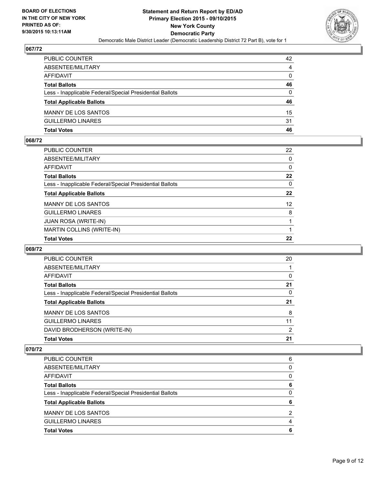

| PUBLIC COUNTER                                           | 42           |
|----------------------------------------------------------|--------------|
| ABSENTEE/MILITARY                                        | 4            |
| AFFIDAVIT                                                | $\mathbf{0}$ |
| <b>Total Ballots</b>                                     | 46           |
| Less - Inapplicable Federal/Special Presidential Ballots | $\Omega$     |
| <b>Total Applicable Ballots</b>                          | 46           |
| MANNY DE LOS SANTOS                                      | 15           |
| GUILLERMO LINARES                                        | 31           |
| Total Votes                                              | 46           |

# **068/72**

| <b>Total Votes</b>                                       | 22      |
|----------------------------------------------------------|---------|
| <b>MARTIN COLLINS (WRITE-IN)</b>                         |         |
| <b>JUAN ROSA (WRITE-IN)</b>                              |         |
| <b>GUILLERMO LINARES</b>                                 | 8       |
| MANNY DE LOS SANTOS                                      | 12      |
| <b>Total Applicable Ballots</b>                          | 22      |
| Less - Inapplicable Federal/Special Presidential Ballots | 0       |
| Total Ballots                                            | $22 \,$ |
| AFFIDAVIT                                                | 0       |
| ABSENTEE/MILITARY                                        | 0       |
| PUBLIC COUNTER                                           | 22      |

# **069/72**

| <b>PUBLIC COUNTER</b>                                    | 20 |
|----------------------------------------------------------|----|
| ABSENTEE/MILITARY                                        |    |
| AFFIDAVIT                                                | 0  |
| <b>Total Ballots</b>                                     | 21 |
| Less - Inapplicable Federal/Special Presidential Ballots | 0  |
| <b>Total Applicable Ballots</b>                          | 21 |
| <b>MANNY DE LOS SANTOS</b>                               | 8  |
| <b>GUILLERMO LINARES</b>                                 | 11 |
| DAVID BRODHERSON (WRITE-IN)                              | 2  |
| <b>Total Votes</b>                                       | 21 |
|                                                          |    |

| PUBLIC COUNTER                                           | 6 |
|----------------------------------------------------------|---|
| ABSENTEE/MILITARY                                        | 0 |
| <b>AFFIDAVIT</b>                                         | 0 |
| <b>Total Ballots</b>                                     | 6 |
| Less - Inapplicable Federal/Special Presidential Ballots | 0 |
| <b>Total Applicable Ballots</b>                          | 6 |
| <b>MANNY DE LOS SANTOS</b>                               | 2 |
| <b>GUILLERMO LINARES</b>                                 |   |
| <b>Total Votes</b>                                       | 6 |
|                                                          |   |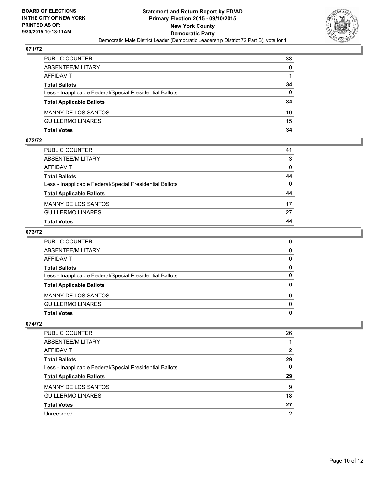

| PUBLIC COUNTER                                           | 33           |
|----------------------------------------------------------|--------------|
| ABSENTEE/MILITARY                                        | $\mathbf{0}$ |
| AFFIDAVIT                                                |              |
| <b>Total Ballots</b>                                     | 34           |
| Less - Inapplicable Federal/Special Presidential Ballots | $\Omega$     |
| <b>Total Applicable Ballots</b>                          | 34           |
| <b>MANNY DE LOS SANTOS</b>                               | 19           |
| GUILLERMO LINARES                                        | 15           |
| Total Votes                                              | 34           |

# **072/72**

| PUBLIC COUNTER                                           | 41           |
|----------------------------------------------------------|--------------|
| ABSENTEE/MILITARY                                        | 3            |
| AFFIDAVIT                                                | $\Omega$     |
| <b>Total Ballots</b>                                     | 44           |
| Less - Inapplicable Federal/Special Presidential Ballots | $\mathbf{0}$ |
| <b>Total Applicable Ballots</b>                          | 44           |
| MANNY DE LOS SANTOS                                      | 17           |
| <b>GUILLERMO LINARES</b>                                 | 27           |
| Total Votes                                              | 44           |
|                                                          |              |

# **073/72**

| PUBLIC COUNTER                                           | 0            |
|----------------------------------------------------------|--------------|
|                                                          |              |
| ABSENTEE/MILITARY                                        | $\mathbf{0}$ |
| AFFIDAVIT                                                | $\Omega$     |
| <b>Total Ballots</b>                                     | 0            |
| Less - Inapplicable Federal/Special Presidential Ballots | $\Omega$     |
| <b>Total Applicable Ballots</b>                          | $\mathbf{0}$ |
| MANNY DE LOS SANTOS                                      | $\Omega$     |
| <b>GUILLERMO LINARES</b>                                 | $\Omega$     |
| <b>Total Votes</b>                                       | $\mathbf{0}$ |
|                                                          |              |

| <b>PUBLIC COUNTER</b>                                    | 26 |
|----------------------------------------------------------|----|
| ABSENTEE/MILITARY                                        |    |
| AFFIDAVIT                                                | 2  |
| <b>Total Ballots</b>                                     | 29 |
| Less - Inapplicable Federal/Special Presidential Ballots | 0  |
| <b>Total Applicable Ballots</b>                          | 29 |
| <b>MANNY DE LOS SANTOS</b>                               | 9  |
| <b>GUILLERMO LINARES</b>                                 | 18 |
| <b>Total Votes</b>                                       | 27 |
| Unrecorded                                               | 2  |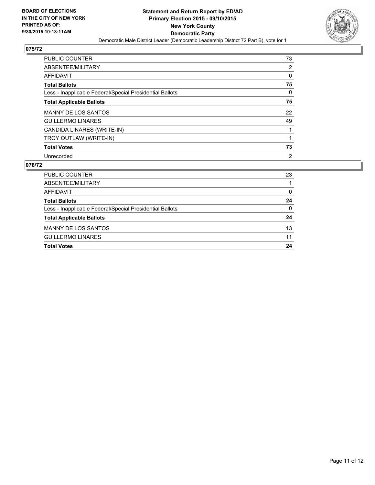

| PUBLIC COUNTER                                           | 73             |
|----------------------------------------------------------|----------------|
| ABSENTEE/MILITARY                                        | 2              |
| AFFIDAVIT                                                | 0              |
| <b>Total Ballots</b>                                     | 75             |
| Less - Inapplicable Federal/Special Presidential Ballots | 0              |
| <b>Total Applicable Ballots</b>                          | 75             |
| <b>MANNY DE LOS SANTOS</b>                               | 22             |
| <b>GUILLERMO LINARES</b>                                 | 49             |
| CANDIDA LINARES (WRITE-IN)                               |                |
| TROY OUTLAW (WRITE-IN)                                   |                |
| <b>Total Votes</b>                                       | 73             |
| Unrecorded                                               | $\overline{2}$ |

| PUBLIC COUNTER                                           | 23 |
|----------------------------------------------------------|----|
| ABSENTEE/MILITARY                                        |    |
| AFFIDAVIT                                                | 0  |
| <b>Total Ballots</b>                                     | 24 |
| Less - Inapplicable Federal/Special Presidential Ballots | 0  |
| <b>Total Applicable Ballots</b>                          | 24 |
| <b>MANNY DE LOS SANTOS</b>                               | 13 |
| <b>GUILLERMO LINARES</b>                                 | 11 |
| <b>Total Votes</b>                                       | 24 |